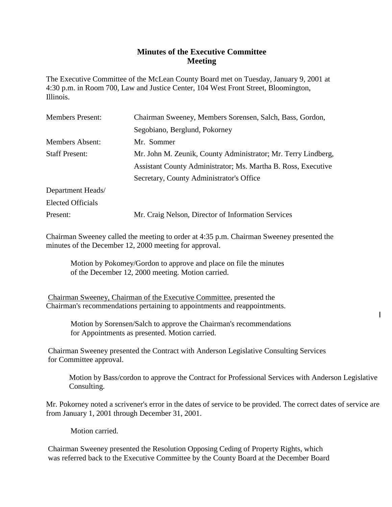## **Minutes of the Executive Committee Meeting**

The Executive Committee of the McLean County Board met on Tuesday, January 9, 2001 at 4:30 p.m. in Room 700, Law and Justice Center, 104 West Front Street, Bloomington, Illinois.

| Chairman Sweeney, Members Sorensen, Salch, Bass, Gordon,                               |  |
|----------------------------------------------------------------------------------------|--|
| Segobiano, Berglund, Pokorney                                                          |  |
| Mr. Sommer                                                                             |  |
| <b>Staff Present:</b><br>Mr. John M. Zeunik, County Administrator; Mr. Terry Lindberg, |  |
| Assistant County Administrator; Ms. Martha B. Ross, Executive                          |  |
| Secretary, County Administrator's Office                                               |  |
|                                                                                        |  |
|                                                                                        |  |
| Mr. Craig Nelson, Director of Information Services                                     |  |
|                                                                                        |  |

Chairman Sweeney called the meeting to order at 4:35 p.m. Chairman Sweeney presented the minutes of the December 12, 2000 meeting for approval.

Motion by Pokomey/Gordon to approve and place on file the minutes of the December 12, 2000 meeting. Motion carried.

Chairman Sweeney, Chairman of the Executive Committee, presented the Chairman's recommendations pertaining to appointments and reappointments.

> Motion by Sorensen/Salch to approve the Chairman's recommendations for Appointments as presented. Motion carried.

Chairman Sweeney presented the Contract with Anderson Legislative Consulting Services for Committee approval.

Motion by Bass/cordon to approve the Contract for Professional Services with Anderson Legislative Consulting.

Mr. Pokorney noted a scrivener's error in the dates of service to be provided. The correct dates of service are from January 1, 2001 through December 31, 2001.

Motion carried.

Chairman Sweeney presented the Resolution Opposing Ceding of Property Rights, which was referred back to the Executive Committee by the County Board at the December Board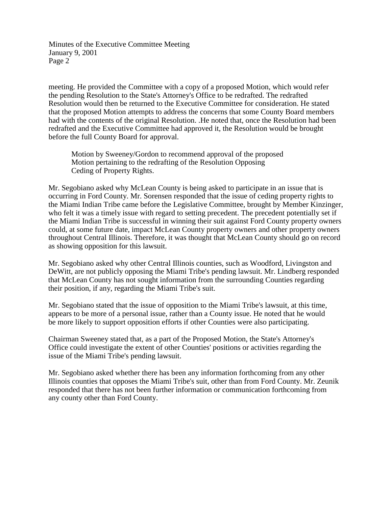Minutes of the Executive Committee Meeting January 9, 2001 Page 2

meeting. He provided the Committee with a copy of a proposed Motion, which would refer the pending Resolution to the State's Attorney's Office to be redrafted. The redrafted Resolution would then be returned to the Executive Committee for consideration. He stated that the proposed Motion attempts to address the concerns that some County Board members had with the contents of the original Resolution. .He noted that, once the Resolution had been redrafted and the Executive Committee had approved it, the Resolution would be brought before the full County Board for approval.

Motion by Sweeney/Gordon to recommend approval of the proposed Motion pertaining to the redrafting of the Resolution Opposing Ceding of Property Rights.

Mr. Segobiano asked why McLean County is being asked to participate in an issue that is occurring in Ford County. Mr. Sorensen responded that the issue of ceding property rights to the Miami Indian Tribe came before the Legislative Committee, brought by Member Kinzinger, who felt it was a timely issue with regard to setting precedent. The precedent potentially set if the Miami Indian Tribe is successful in winning their suit against Ford County property owners could, at some future date, impact McLean County property owners and other property owners throughout Central Illinois. Therefore, it was thought that McLean County should go on record as showing opposition for this lawsuit.

Mr. Segobiano asked why other Central Illinois counties, such as Woodford, Livingston and DeWitt, are not publicly opposing the Miami Tribe's pending lawsuit. Mr. Lindberg responded that McLean County has not sought information from the surrounding Counties regarding their position, if any, regarding the Miami Tribe's suit.

Mr. Segobiano stated that the issue of opposition to the Miami Tribe's lawsuit, at this time, appears to be more of a personal issue, rather than a County issue. He noted that he would be more likely to support opposition efforts if other Counties were also participating.

Chairman Sweeney stated that, as a part of the Proposed Motion, the State's Attorney's Office could investigate the extent of other Counties' positions or activities regarding the issue of the Miami Tribe's pending lawsuit.

Mr. Segobiano asked whether there has been any information forthcoming from any other Illinois counties that opposes the Miami Tribe's suit, other than from Ford County. Mr. Zeunik responded that there has not been further information or communication forthcoming from any county other than Ford County.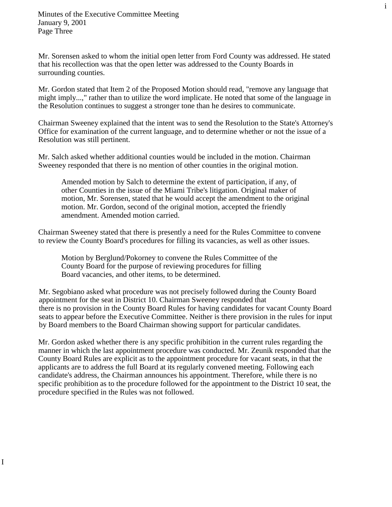I

Mr. Sorensen asked to whom the initial open letter from Ford County was addressed. He stated that his recollection was that the open letter was addressed to the County Boards in surrounding counties.

i

Mr. Gordon stated that Item 2 of the Proposed Motion should read, "remove any language that might imply...," rather than to utilize the word implicate. He noted that some of the language in the Resolution continues to suggest a stronger tone than he desires to communicate.

Chairman Sweeney explained that the intent was to send the Resolution to the State's Attorney's Office for examination of the current language, and to determine whether or not the issue of a Resolution was still pertinent.

Mr. Salch asked whether additional counties would be included in the motion. Chairman Sweeney responded that there is no mention of other counties in the original motion.

Amended motion by Salch to determine the extent of participation, if any, of other Counties in the issue of the Miami Tribe's litigation. Original maker of motion, Mr. Sorensen, stated that he would accept the amendment to the original motion. Mr. Gordon, second of the original motion, accepted the friendly amendment. Amended motion carried.

Chairman Sweeney stated that there is presently a need for the Rules Committee to convene to review the County Board's procedures for filling its vacancies, as well as other issues.

Motion by Berglund/Pokorney to convene the Rules Committee of the County Board for the purpose of reviewing procedures for filling Board vacancies, and other items, to be determined.

 Mr. Segobiano asked what procedure was not precisely followed during the County Board appointment for the seat in District 10. Chairman Sweeney responded that there is no provision in the County Board Rules for having candidates for vacant County Board seats to appear before the Executive Committee. Neither is there provision in the rules for input by Board members to the Board Chairman showing support for particular candidates.

Mr. Gordon asked whether there is any specific prohibition in the current rules regarding the manner in which the last appointment procedure was conducted. Mr. Zeunik responded that the County Board Rules are explicit as to the appointment procedure for vacant seats, in that the applicants are to address the full Board at its regularly convened meeting. Following each candidate's address, the Chairman announces his appointment. Therefore, while there is no specific prohibition as to the procedure followed for the appointment to the District 10 seat, the procedure specified in the Rules was not followed.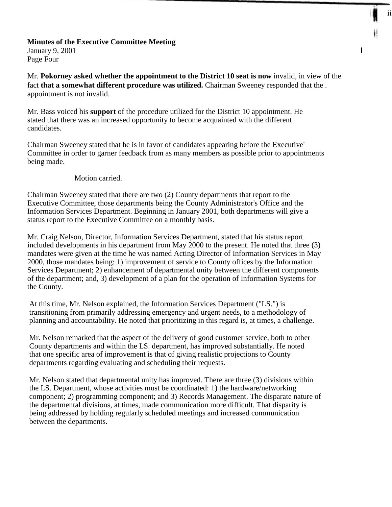## **Minutes of the Executive Committee Meeting** January 9, 2001  $\qquad \qquad \text{I}$ Page Four

Mr. **Pokorney asked whether the appointment to the District 10 seat is now** invalid, in view of the fact **that a somewhat different procedure was utilized.** Chairman Sweeney responded that the . appointment is not invalid.

ii

Mr. Bass voiced his **support** of the procedure utilized for the District 10 appointment. He stated that there was an increased opportunity to become acquainted with the different candidates.

Chairman Sweeney stated that he is in favor of candidates appearing before the Executive' Committee in order to garner feedback from as many members as possible prior to appointments being made.

## Motion carried.

Chairman Sweeney stated that there are two (2) County departments that report to the Executive Committee, those departments being the County Administrator's Office and the Information Services Department. Beginning in January 2001, both departments will give a status report to the Executive Committee on a monthly basis.

Mr. Craig Nelson, Director, Information Services Department, stated that his status report included developments in his department from May 2000 to the present. He noted that three (3) mandates were given at the time he was named Acting Director of Information Services in May 2000, those mandates being: 1) improvement of service to County offices by the Information Services Department; 2) enhancement of departmental unity between the different components of the department; and, 3) development of a plan for the operation of Information Systems for the County.

At this time, Mr. Nelson explained, the Information Services Department ("LS.") is transitioning from primarily addressing emergency and urgent needs, to a methodology of planning and accountability. He noted that prioritizing in this regard is, at times, a challenge.

Mr. Nelson remarked that the aspect of the delivery of good customer service, both to other County departments and within the LS. department, has improved substantially. He noted that one specific area of improvement is that of giving realistic projections to County departments regarding evaluating and scheduling their requests.

Mr. Nelson stated that departmental unity has improved. There are three (3) divisions within the LS. Department, whose activities must be coordinated: 1) the hardware/networking component; 2) programming component; and 3) Records Management. The disparate nature of the departmental divisions, at times, made communication more difficult. That disparity is being addressed by holding regularly scheduled meetings and increased communication between the departments.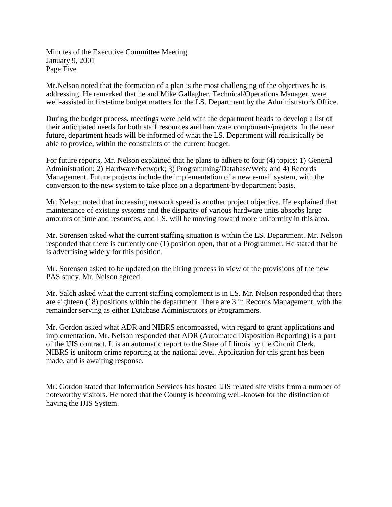Minutes of the Executive Committee Meeting January 9, 2001 Page Five

Mr.Nelson noted that the formation of a plan is the most challenging of the objectives he is addressing. He remarked that he and Mike Gallagher, Technical/Operations Manager, were well-assisted in first-time budget matters for the LS. Department by the Administrator's Office.

During the budget process, meetings were held with the department heads to develop a list of their anticipated needs for both staff resources and hardware components/projects. In the near future, department heads will be informed of what the LS. Department will realistically be able to provide, within the constraints of the current budget.

For future reports, Mr. Nelson explained that he plans to adhere to four (4) topics: 1) General Administration; 2) Hardware/Network; 3) Programming/Database/Web; and 4) Records Management. Future projects include the implementation of a new e-mail system, with the conversion to the new system to take place on a department-by-department basis.

Mr. Nelson noted that increasing network speed is another project objective. He explained that maintenance of existing systems and the disparity of various hardware units absorbs large amounts of time and resources, and LS. will be moving toward more uniformity in this area.

Mr. Sorensen asked what the current staffing situation is within the LS. Department. Mr. Nelson responded that there is currently one (1) position open, that of a Programmer. He stated that he is advertising widely for this position.

Mr. Sorensen asked to be updated on the hiring process in view of the provisions of the new PAS study. Mr. Nelson agreed.

Mr. Salch asked what the current staffing complement is in LS. Mr. Nelson responded that there are eighteen (18) positions within the department. There are 3 in Records Management, with the remainder serving as either Database Administrators or Programmers.

Mr. Gordon asked what ADR and NIBRS encompassed, with regard to grant applications and implementation. Mr. Nelson responded that ADR (Automated Disposition Reporting) is a part of the IJIS contract. It is an automatic report to the State of Illinois by the Circuit Clerk. NIBRS is uniform crime reporting at the national level. Application for this grant has been made, and is awaiting response.

Mr. Gordon stated that Information Services has hosted IJIS related site visits from a number of noteworthy visitors. He noted that the County is becoming well-known for the distinction of having the IJIS System.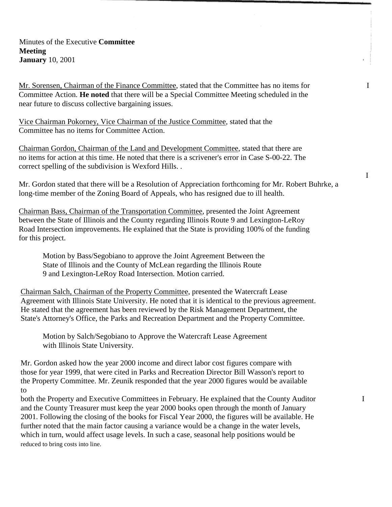Minutes of the Executive **Committee Meeting January** 10, 2001

Mr. Sorensen, Chairman of the Finance Committee, stated that the Committee has no items for I Committee Action. **He noted** that there will be a Special Committee Meeting scheduled in the near future to discuss collective bargaining issues.

Vice Chairman Pokorney, Vice Chairman of the Justice Committee, stated that the Committee has no items for Committee Action.

Chairman Gordon, Chairman of the Land and Development Committee, stated that there are no items for action at this time. He noted that there is a scrivener's error in Case S-00-22. The correct spelling of the subdivision is Wexford Hills. .

Mr. Gordon stated that there will be a Resolution of Appreciation forthcoming for Mr. Robert Buhrke, a long-time member of the Zoning Board of Appeals, who has resigned due to ill health.

Chairman Bass, Chairman of the Transportation Committee, presented the Joint Agreement between the State of Illinois and the County regarding Illinois Route 9 and Lexington-LeRoy Road Intersection improvements. He explained that the State is providing 100% of the funding for this project.

Motion by Bass/Segobiano to approve the Joint Agreement Between the State of Illinois and the County of McLean regarding the Illinois Route 9 and Lexington-LeRoy Road Intersection. Motion carried.

Chairman Salch, Chairman of the Property Committee, presented the Watercraft Lease Agreement with Illinois State University. He noted that it is identical to the previous agreement. He stated that the agreement has been reviewed by the Risk Management Department, the State's Attorney's Office, the Parks and Recreation Department and the Property Committee.

Motion by Salch/Segobiano to Approve the Watercraft Lease Agreement with Illinois State University.

Mr. Gordon asked how the year 2000 income and direct labor cost figures compare with those for year 1999, that were cited in Parks and Recreation Director Bill Wasson's report to the Property Committee. Mr. Zeunik responded that the year 2000 figures would be available to

both the Property and Executive Committees in February. He explained that the County Auditor I and the County Treasurer must keep the year 2000 books open through the month of January 2001. Following the closing of the books for Fiscal Year 2000, the figures will be available. He further noted that the main factor causing a variance would be a change in the water levels, which in turn, would affect usage levels. In such a case, seasonal help positions would be reduced to bring costs into line.

I